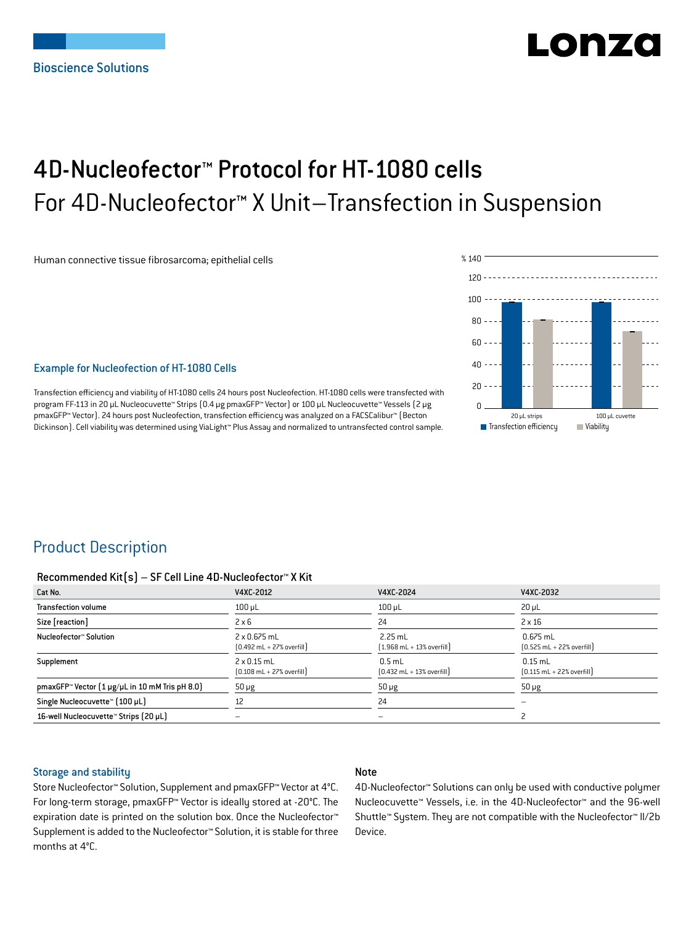# LONZ

## 4D-Nucleofector™ Protocol for HT-1080 cells For 4D-Nucleofector™ X Unit–Transfection in Suspension

Human connective tissue fibrosarcoma; epithelial cells



#### Example for Nucleofection of HT-1080 Cells

Transfection efficiency and viability of HT-1080 cells 24 hours post Nucleofection. HT-1080 cells were transfected with program FF-113 in 20 μL Nucleocuvette™ Strips (0.4 μg pmaxGFP™ Vector) or 100 μL Nucleocuvette™ Vessels (2 μg pmaxGFP™ Vector). 24 hours post Nucleofection, transfection efficiency was analyzed on a FACSCalibur™ (Becton Dickinson). Cell viability was determined using ViaLight™ Plus Assay and normalized to untransfected control sample.

## Product Description

#### Recommended Kit(s) – SF Cell Line 4D-Nucleofector™ X Kit

| Cat No.                                                           | V4XC-2012                                                           | V4XC-2024                                                 | V4XC-2032                                                  |
|-------------------------------------------------------------------|---------------------------------------------------------------------|-----------------------------------------------------------|------------------------------------------------------------|
| <b>Transfection volume</b>                                        | $100 \mu L$                                                         | $100$ $\mu$ L                                             | $20 \mu L$                                                 |
| Size [reaction]                                                   | $2 \times 6$                                                        | 24                                                        | $2 \times 16$                                              |
| Nucleofector™ Solution                                            | $2 \times 0.675$ mL<br>$[0.492 \text{ mL} + 27\% \text{ overfill}]$ | $2.25$ mL<br>$[1.968 \text{ mL} + 13\% \text{ overfill}]$ | $0.675$ mL<br>$[0.525 \text{ mL} + 22\% \text{ overfill}]$ |
| Supplement                                                        | $2 \times 0.15$ mL<br>$[0.108 \text{ mL} + 27\% \text{ overfill}]$  | $0.5$ mL<br>$[0.432 \text{ mL} + 13\% \text{ overfill}]$  | $0.15$ mL<br>$[0.115 \text{ mL} + 22\% \text{ overfill}]$  |
| pmaxGFP <sup>*</sup> Vector $[1 \mu g/\mu L$ in 10 mM Tris pH 8.0 | $50 \mu g$                                                          | $50 \mu g$                                                | $50 \mu g$                                                 |
| Single Nucleocuvette™ (100 µL)                                    | 12                                                                  | 24                                                        |                                                            |
| 16-well Nucleocuvette™ Strips (20 µL)                             | -                                                                   | -                                                         |                                                            |

#### Storage and stability

#### Note

Store Nucleofector™ Solution, Supplement and pmaxGFP™ Vector at 4°C. For long-term storage, pmaxGFP™ Vector is ideally stored at -20°C. The expiration date is printed on the solution box. Once the Nucleofector™ Supplement is added to the Nucleofector™ Solution, it is stable for three months at 4°C.

4D-Nucleofector™ Solutions can only be used with conductive polymer Nucleocuvette™ Vessels, i.e. in the 4D-Nucleofector™ and the 96-well Shuttle™ System. They are not compatible with the Nucleofector™ II/2b Device.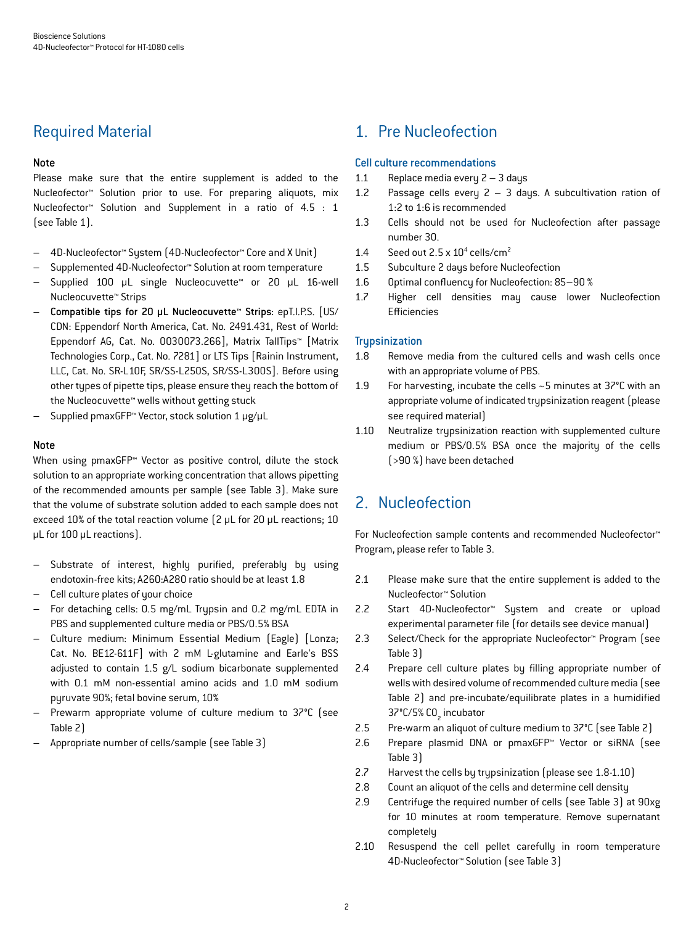## Required Material

#### Note

Please make sure that the entire supplement is added to the Nucleofector™ Solution prior to use. For preparing aliquots, mix Nucleofector™ Solution and Supplement in a ratio of 4.5 : 1 (see Table 1).

- 4D-Nucleofector™ System (4D-Nucleofector™ Core and X Unit)
- Supplemented 4D-Nucleofector™ Solution at room temperature
- Supplied 100 μL single Nucleocuvette™ or 20 μL 16-well Nucleocuvette™ Strips
- Compatible tips for 20 μL Nucleocuvette™ Strips: epT.I.P.S. [US/ CDN: Eppendorf North America, Cat. No. 2491.431, Rest of World: Eppendorf AG, Cat. No. 0030073.266], Matrix TallTips™ [Matrix Technologies Corp., Cat. No. 7281] or LTS Tips [Rainin Instrument, LLC, Cat. No. SR-L10F, SR/SS-L250S, SR/SS-L300S]. Before using other types of pipette tips, please ensure they reach the bottom of the Nucleocuvette™ wells without getting stuck
- Supplied pmaxGFP™ Vector, stock solution 1 μg/μL

#### **Note**

When using pmaxGFP<sup>™</sup> Vector as positive control, dilute the stock solution to an appropriate working concentration that allows pipetting of the recommended amounts per sample (see Table 3). Make sure that the volume of substrate solution added to each sample does not exceed 10% of the total reaction volume (2 μL for 20 μL reactions; 10 μL for 100 μL reactions).

- Substrate of interest, highly purified, preferably by using endotoxin-free kits; A260:A280 ratio should be at least 1.8
- Cell culture plates of your choice
- For detaching cells: 0.5 mg/mL Trypsin and 0.2 mg/mL EDTA in PBS and supplemented culture media or PBS/0.5% BSA
- Culture medium: Minimum Essential Medium (Eagle) [Lonza; Cat. No. BE12-611F] with 2 mM L-glutamine and Earle's BSS adjusted to contain 1.5 g/L sodium bicarbonate supplemented with 0.1 mM non-essential amino acids and 1.0 mM sodium pyruvate 90%; fetal bovine serum, 10%
- Prewarm appropriate volume of culture medium to 37°C (see Table 2)
- Appropriate number of cells/sample (see Table 3)

## 1. Pre Nucleofection

#### Cell culture recommendations

- 1.1 Replace media every 2 3 days
- 1.2 Passage cells every  $2 3$  days. A subcultivation ration of 1:2 to 1:6 is recommended
- 1.3 Cells should not be used for Nucleofection after passage number 30.
- 1.4 Seed out  $2.5 \times 10^4$  cells/cm<sup>2</sup>
- 1.5 Subculture 2 days before Nucleofection
- 1.6 Optimal confluency for Nucleofection: 85–90 %
- 1.7 Higher cell densities may cause lower Nucleofection Efficiencies

#### **Trypsinization**

- 1.8 Remove media from the cultured cells and wash cells once with an appropriate volume of PBS.
- 1.9 For harvesting, incubate the cells ~5 minutes at 37°C with an appropriate volume of indicated trypsinization reagent (please see required material)
- 1.10 Neutralize trypsinization reaction with supplemented culture medium or PBS/0.5% BSA once the majority of the cells (>90 %) have been detached

## 2. Nucleofection

For Nucleofection sample contents and recommended Nucleofector™ Program, please refer to Table 3.

- 2.1 Please make sure that the entire supplement is added to the Nucleofector™ Solution
- 2.2 Start 4D-Nucleofector™ System and create or upload experimental parameter file (for details see device manual)
- 2.3 Select/Check for the appropriate Nucleofector™ Program (see Table 3)
- 2.4 Prepare cell culture plates by filling appropriate number of wells with desired volume of recommended culture media (see Table 2) and pre-incubate/equilibrate plates in a humidified 37°C/5% CO<sub>2</sub> incubator
- 2.5 Pre-warm an aliquot of culture medium to 37°C (see Table 2)
- 2.6 Prepare plasmid DNA or pmaxGFP™ Vector or siRNA (see Table 3)
- 2.7 Harvest the cells by trypsinization (please see 1.8-1.10)
- 2.8 Count an aliquot of the cells and determine cell density
- 2.9 Centrifuge the required number of cells (see Table 3) at 90xg for 10 minutes at room temperature. Remove supernatant completely
- 2.10 Resuspend the cell pellet carefully in room temperature 4D-Nucleofector™ Solution (see Table 3)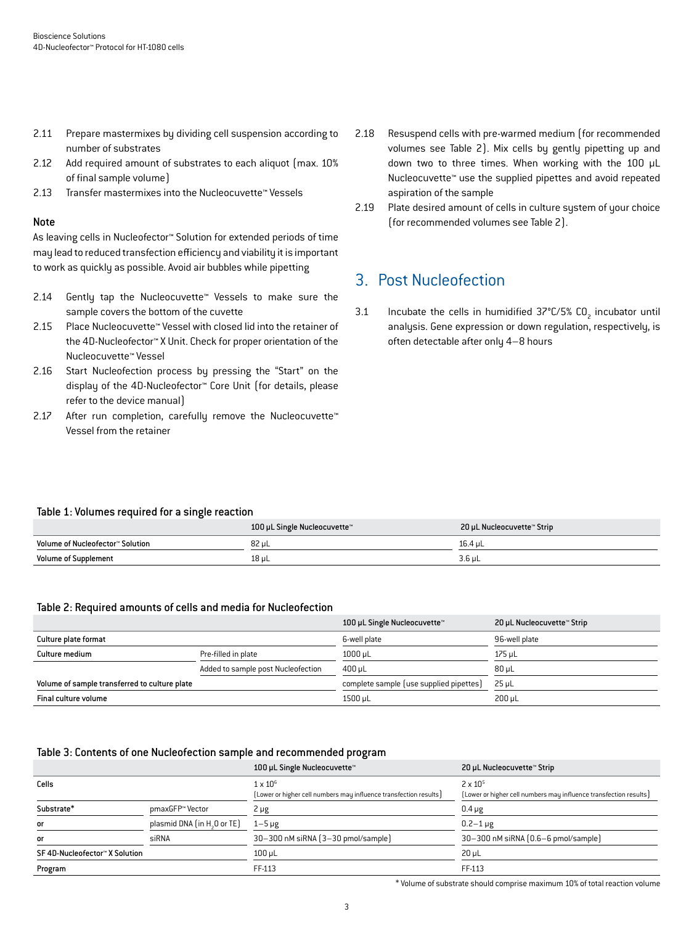- 2.11 Prepare mastermixes by dividing cell suspension according to number of substrates
- 2.12 Add required amount of substrates to each aliquot (max. 10% of final sample volume)
- 2.13 Transfer mastermixes into the Nucleocuvette™ Vessels

#### Note

As leaving cells in Nucleofector™ Solution for extended periods of time may lead to reduced transfection efficiency and viability it is important to work as quickly as possible. Avoid air bubbles while pipetting

- 2.14 Gently tap the Nucleocuvette™ Vessels to make sure the sample covers the bottom of the cuvette
- 2.15 Place Nucleocuvette™ Vessel with closed lid into the retainer of the 4D-Nucleofector™ X Unit. Check for proper orientation of the Nucleocuvette™ Vessel
- 2.16 Start Nucleofection process by pressing the "Start" on the display of the 4D-Nucleofector™ Core Unit (for details, please refer to the device manual)
- 2.17 After run completion, carefully remove the Nucleocuvette™ Vessel from the retainer
- 2.18 Resuspend cells with pre-warmed medium (for recommended volumes see Table 2). Mix cells by gently pipetting up and down two to three times. When working with the 100 μL Nucleocuvette™ use the supplied pipettes and avoid repeated aspiration of the sample
- 2.19 Plate desired amount of cells in culture system of your choice (for recommended volumes see Table 2).

## 3. Post Nucleofection

3.1 Incubate the cells in humidified  $37^{\circ}$ C/5% CO<sub>2</sub> incubator until analysis. Gene expression or down regulation, respectively, is often detectable after only 4–8 hours

#### Table 1: Volumes required for a single reaction

|                                  | 100 µL Single Nucleocuvette™ | 20 µL Nucleocuvette™ Strip |
|----------------------------------|------------------------------|----------------------------|
| Volume of Nucleofector™ Solution | 82 µL                        | 16.4 uL                    |
| <b>Volume of Supplement</b>      | 18 µL                        | $3.6$ uL                   |

#### Table 2: Required amounts of cells and media for Nucleofection

|                                               |                                    | 100 µL Single Nucleocuvette™            | 20 µL Nucleocuvette™ Strip |
|-----------------------------------------------|------------------------------------|-----------------------------------------|----------------------------|
| Culture plate format                          |                                    | 6-well plate                            | 96-well plate              |
| Culture medium                                | Pre-filled in plate                | $1000 \mu L$                            | $175$ µL                   |
|                                               | Added to sample post Nucleofection | $400 \mu L$                             | $80 \mu L$                 |
| Volume of sample transferred to culture plate |                                    | complete sample (use supplied pipettes) | $25 \mu L$                 |
| Final culture volume                          |                                    | 1500 µL                                 | $200 \mu L$                |

#### Table 3: Contents of one Nucleofection sample and recommended program

|                                |                                         | 100 µL Single Nucleocuvette™                                                         | 20 µL Nucleocuvette™ Strip                                                             |
|--------------------------------|-----------------------------------------|--------------------------------------------------------------------------------------|----------------------------------------------------------------------------------------|
| Cells                          |                                         | $1 \times 10^6$<br>(Lower or higher cell numbers may influence transfection results) | $2 \times 10^{5}$<br>[Lower or higher cell numbers may influence transfection results] |
| Substrate*                     | pmaxGFP™ Vector                         | 2 µg                                                                                 | $0.4 \mu g$                                                                            |
| or                             | plasmid DNA (in H <sub>2</sub> O or TE) | $1-5 \mu g$                                                                          | $0.2 - 1 \mu g$                                                                        |
| or                             | siRNA                                   | 30-300 nM siRNA (3-30 pmol/sample)                                                   | 30-300 nM siRNA (0.6-6 pmol/sample)                                                    |
| SF 4D-Nucleofector™ X Solution |                                         | $100$ $\mu$ L                                                                        | $20 \mu L$                                                                             |
| Program                        |                                         | FF-113                                                                               | FF-113                                                                                 |

\* Volume of substrate should comprise maximum 10% of total reaction volume